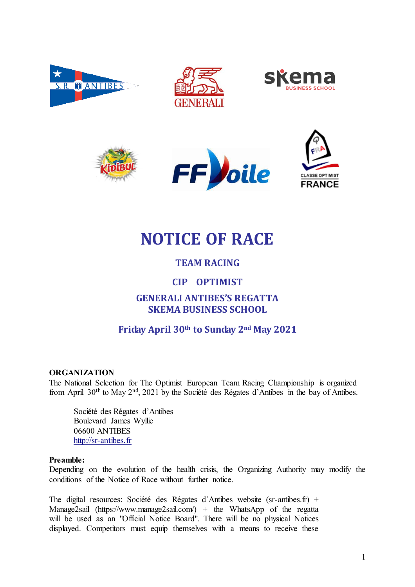











# **NOTICE OF RACE**

# **TEAM RACING**

# **CIP OPTIMIST**

# GENERALI ANTIBES'S REGAT**TA SKEMA BUSINESS SCHOOL**

# **Friday April 30th to Sunday 2nd May 2021**

### **ORGANIZATION**

The National Selection for The Optimist European Team Racing Championship is organized from April 30th to May 2nd, 2021 by the Société des Régates d'Antibes in the bay of Antibes.

 Société des Régates d'Antibes Boulevard James Wyllie 06600 ANTIBES http://sr-antibes.fr

#### **Preamble:**

Depending on the evolution of the health crisis, the Organizing Authority may modify the conditions of the Notice of Race without further notice.

The digital resources: Société des Régates d´Antibes website (sr-antibes.fr) + Manage2sail (https://www.manage2sail.com/) + the WhatsApp of the regatta will be used as an "Official Notice Board". There will be no physical Notices displayed. Competitors must equip themselves with a means to receive these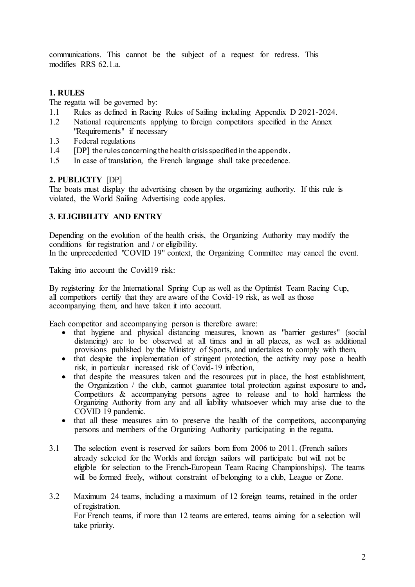communications. This cannot be the subject of a request for redress. This modifies RRS 62.1 a.

# **1. RULES**

The regatta will be governed by:

- 1.1 Rules as defined in Racing Rules of Sailing including Appendix D 2021-2024.
- 1.2 National requirements applying to foreign competitors specified in the Annex "Requirements" if necessary
- 1.3 Federal regulations
- $1.4$  [DP] the rules concerning the health crisis specified in the appendix.
- 1.5 In case of translation, the French language shall take precedence.

### **2. PUBLICITY** [DP]

The boats must display the advertising chosen by the organizing authority. If this rule is violated, the World Sailing Advertising code applies.

# **3. ELIGIBILITY AND ENTRY**

Depending on the evolution of the health crisis, the Organizing Authority may modify the conditions for registration and / or eligibility.

In the unprecedented "COVID 19" context, the Organizing Committee may cancel the event.

Taking into account the Covid19 risk:

By registering for the International Spring Cup as well as the Optimist Team Racing Cup, all competitors certify that they are aware of the Covid-19 risk, as well as those accompanying them, and have taken it into account.

Each competitor and accompanying person is therefore aware:

- that hygiene and physical distancing measures, known as "barrier gestures" (social distancing) are to be observed at all times and in all places, as well as additional provisions published by the Ministry of Sports, and undertakes to comply with them,
- that despite the implementation of stringent protection, the activity may pose a health risk, in particular increased risk of Covid-19 infection,
- $\bullet$  that despite the measures taken and the resources put in place, the host establishment, the Organization / the club, cannot guarantee total protection against exposure to and, Competitors & accompanying persons agree to release and to hold harmless the Organizing Authority from any and all liability whatsoever which may arise due to the COVID 19 pandemic.
- that all these measures aim to preserve the health of the competitors, accompanying persons and members of the Organizing Authority participating in the regatta.
- 3.1 The selection event is reserved for sailors born from 2006 to 2011. (French sailors already selected for the Worlds and foreign sailors will participate but will not be eligible for selection to the French European Team Racing Championships). The teams will be formed freely, without constraint of belonging to a club, League or Zone.
- 3.2 Maximum 24 teams, including a maximum of 12 foreign teams, retained in the order of registration. For French teams, if more than 12 teams are entered, teams aiming for a selection will take priority.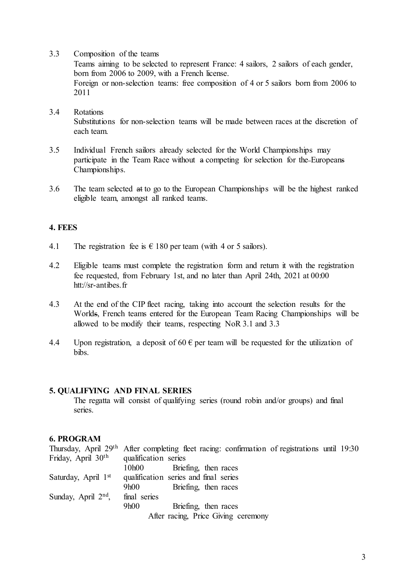3.3 Composition of the teams

Teams aiming to be selected to represent France: 4 sailors, 2 sailors of each gender, born from 2006 to 2009, with a French license. Foreign or non-selection teams: free composition of 4 or 5 sailors born from 2006 to 2011

- 3.4 Rotations Substitutions for non-selection teams will be made between races at the discretion of each team.
- 3.5 Individual French sailors already selected for the World Championships may participate in the Team Race without a competing for selection for the Europeans Championships.
- 3.6 The team selected at to go to the European Championships will be the highest ranked eligible team, amongst all ranked teams.

#### **4. FEES**

- 4.1 The registration fee is  $\epsilon$  180 per team (with 4 or 5 sailors).
- 4.2 Eligible teams must complete the registration form and return it with the registration fee requested, from February 1st, and no later than April 24th, 2021 at 00:00 htt://sr-antibes.fr
- 4.3 At the end of the CIP fleet racing, taking into account the selection results for the Worlds, French teams entered for the European Team Racing Championships will be allowed to be modify their teams, respecting NoR 3.1 and 3.3
- 4.4 Upon registration, a deposit of 60  $\epsilon$  per team will be requested for the utilization of bibs.

#### **5. QUALIFYING AND FINAL SERIES**

The regatta will consist of qualifying series (round robin and/or groups) and final series.

#### **6. PROGRAM**

|                                | Thursday, April 29 <sup>th</sup> After completing fleet racing: confirmation of registrations until 19:30 |
|--------------------------------|-----------------------------------------------------------------------------------------------------------|
| Friday, April 30 <sup>th</sup> | qualification series                                                                                      |
|                                | Briefing, then races<br>10h00                                                                             |
| Saturday, April $1st$          | qualification series and final series                                                                     |
|                                | Briefing, then races<br>9h00                                                                              |
| Sunday, April $2nd$ ,          | final series                                                                                              |
|                                | 9h00<br>Briefing, then races                                                                              |
|                                | After racing, Price Giving ceremony                                                                       |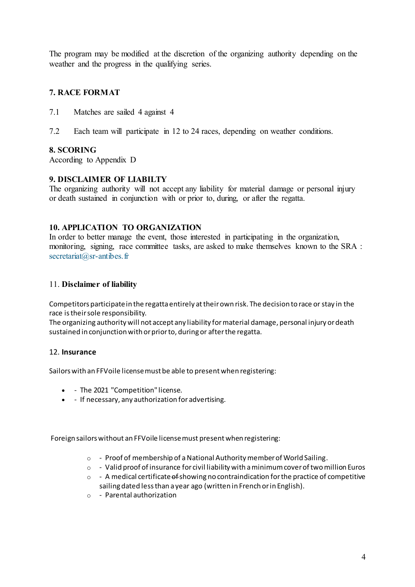The program may be modified at the discretion of the organizing authority depending on the weather and the progress in the qualifying series.

# **7. RACE FORMAT**

- 7.1 Matches are sailed 4 against 4
- 7.2 Each team will participate in 12 to 24 races, depending on weather conditions.

### **8. SCORING**

According to Appendix D

#### **9. DISCLAIMER OF LIABILTY**

The organizing authority will not accept any liability for material damage or personal injury or death sustained in conjunction with or prior to, during, or after the regatta.

### **10. APPLICATION TO ORGANIZATION**

In order to better manage the event, those interested in participating in the organization, monitoring, signing, race committee tasks, are asked to make themselves known to the SRA : secretariat@sr-antibes.fr

#### 11. **Disclaimer of liability**

Competitors participate in the regatta entirely at their own risk. The decision to race or stay in the race is their sole responsibility.

The organizing authority will not accept any liability for material damage, personal injury or death sustained in conjunction with or prior to, during or after the regatta.

#### 12. **Insurance**

Sailors with an FFVoile license must be able to present when registering:

- - The 2021 "Competition" license.
- - If necessary, any authorization for advertising.

Foreign sailors without an FFVoile license must present when registering:

- o Proof of membership of a National Authority member of World Sailing.
- $\circ$  Valid proof of insurance for civil liability with a minimum cover of two million Euros
- $\circ$  A medical certificate of showing no contraindication for the practice of competitive sailing dated less than a year ago (written in French or in English).
- o Parental authorization